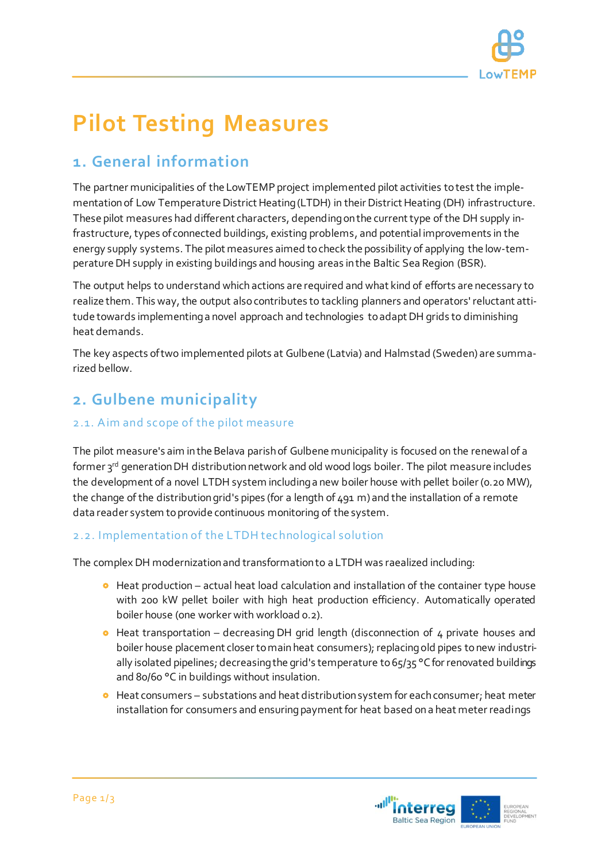

# **Pilot Testing Measures**

## **1. General information**

The partner municipalities of the LowTEMP project implemented pilot activities to test the implementation of Low Temperature District Heating (LTDH) in their District Heating (DH) infrastructure. These pilot measures had different characters, depending on the current type of the DH supply infrastructure, types of connected buildings, existing problems, and potential improvements in the energy supply systems. The pilot measures aimed to check the possibility of applying the low-temperature DH supply in existing buildings and housing areas in the Baltic Sea Region (BSR).

The output helps to understand which actions are required and what kind of efforts are necessary to realize them. This way, the output also contributes to tackling planners and operators' reluctant attitude towards implementing a novel approach and technologies to adapt DH grids to diminishing heat demands.

The key aspects of two implemented pilots at Gulbene (Latvia) and Halmstad (Sweden) are summarized bellow.

# **2. Gulbene municipality**

### 2.1. Aim and scope of the pilot measure

The pilot measure's aim in the Belava parish of Gulbene municipality is focused on the renewal of a former 3rd generation DH distribution network and old wood logs boiler. The pilot measure includes the development of a novel LTDH system including a new boiler house with pellet boiler (0.20 MW), the change of the distribution grid's pipes (for a length of 491 m) and the installation of a remote data reader system to provide continuous monitoring of the system.

### 2.2. Implementation of the LTDH technological solution

The complex DH modernization and transformation to a LTDH was raealized including:

- **•** Heat production actual heat load calculation and installation of the container type house with 200 kW pellet boiler with high heat production efficiency. Automatically operated boiler house (one worker with workload 0.2).
- $\bullet$  Heat transportation decreasing DH grid length (disconnection of 4 private houses and boiler house placement closer to main heat consumers); replacing old pipes to new industrially isolated pipelines; decreasing the grid's temperature to 65/35 °C for renovated buildings and 80/60 °C in buildings without insulation.
- **•** Heat consumers substations and heat distribution system for each consumer; heat meter installation for consumers and ensuring payment for heat based on a heat meter readings

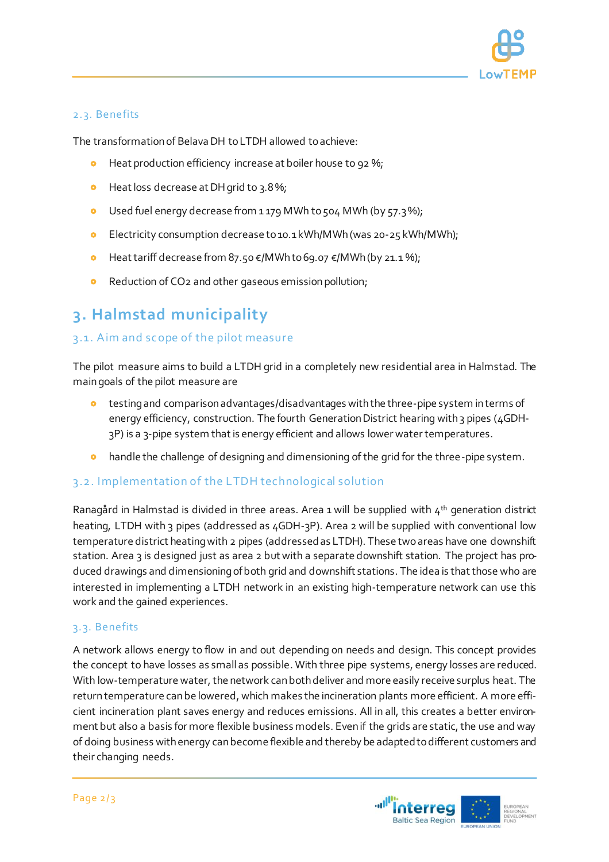

#### 2.3. Benefits

The transformation of Belava DH to LTDH allowed to achieve:

- **•** Heat production efficiency increase at boiler house to 92 %;
- **o** Heat loss decrease at DH grid to 3.8%;
- Used fuel energy decrease from 1 179 MWh to 504 MWh (by 57.3 %);
- Electricity consumption decrease to 10.1 kWh/MWh (was 20-25 kWh/MWh);
- Heat tariff decrease from 87.50 €/MWh to 69.07 €/MWh (by 21.1 %);
- Reduction of CO2 and other gaseous emission pollution;

# **3. Halmstad municipality**

### 3.1. Aim and scope of the pilot measure

The pilot measure aims to build a LTDH grid in a completely new residential area in Halmstad. The main goals of the pilot measure are

- testingand comparisonadvantages/disadvantages with the three-pipe system in terms of energy efficiency, construction. The fourth Generation District hearing with 3 pipes (4GDH-3P) is a 3-pipe system that is energy efficient and allows lower water temperatures.
- handle the challenge of designing and dimensioning of the grid for the three-pipe system.

#### 3.2. Implementation of the LTDH technological solution

Ranagård in Halmstad is divided in three areas. Area 1 will be supplied with 4<sup>th</sup> generation district heating, LTDH with 3 pipes (addressed as 4GDH-3P). Area 2 will be supplied with conventional low temperature district heating with 2 pipes (addressed as LTDH). These two areas have one downshift station. Area 3 is designed just as area 2 but with a separate downshift station. The project has produced drawings and dimensioning of both grid and downshift stations. The idea is that those who are interested in implementing a LTDH network in an existing high-temperature network can use this work and the gained experiences.

#### 3.3. Benefits

A network allows energy to flow in and out depending on needs and design. This concept provides the concept to have losses as small as possible. With three pipe systems, energy losses are reduced. With low-temperature water, the network can both deliver and more easily receive surplus heat. The return temperature can be lowered, which makes the incineration plants more efficient. A more efficient incineration plant saves energy and reduces emissions. All in all, this creates a better environment but also a basis for more flexible business models. Even if the grids are static, the use and way of doing business with energy can become flexible and thereby be adapted to different customers and their changing needs.